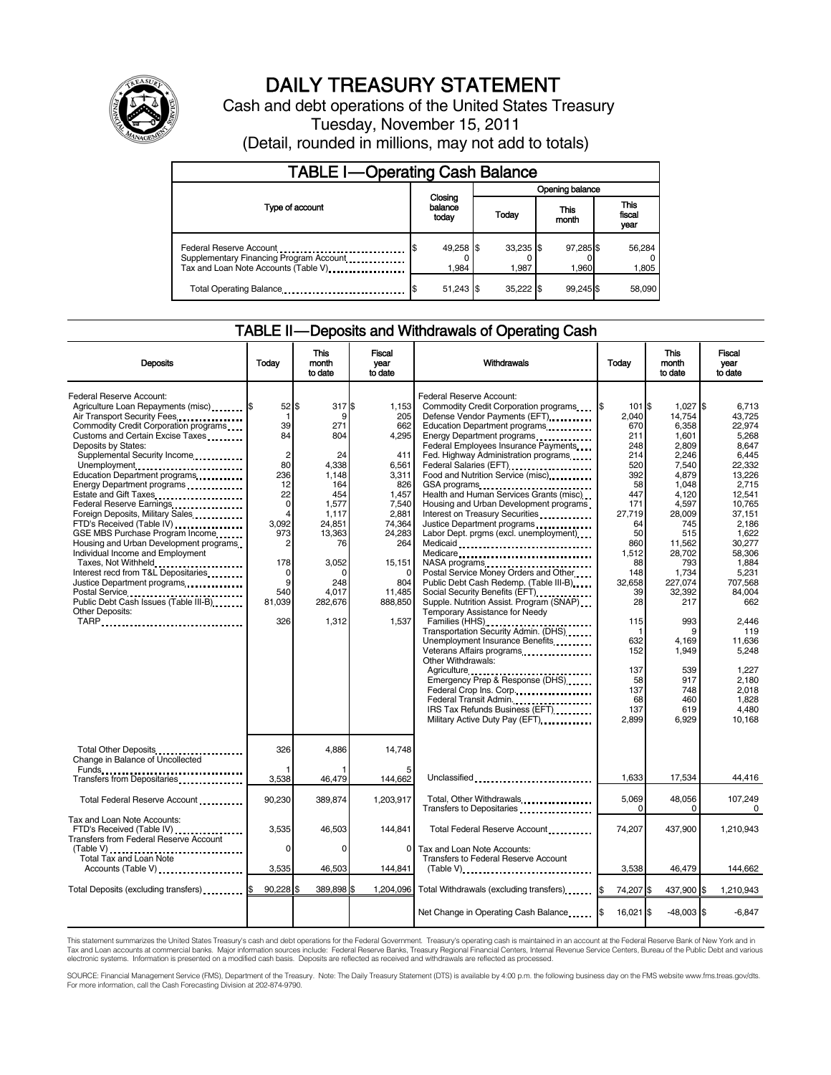

# DAILY TREASURY STATEMENT

Cash and debt operations of the United States Treasury Tuesday, November 15, 2011 (Detail, rounded in millions, may not add to totals)

| <b>TABLE I-Operating Cash Balance</b>                                                                       |                             |  |                      |                    |                               |  |
|-------------------------------------------------------------------------------------------------------------|-----------------------------|--|----------------------|--------------------|-------------------------------|--|
|                                                                                                             | Closing<br>balance<br>today |  | Opening balance      |                    |                               |  |
| Type of account                                                                                             |                             |  | Today                | This<br>month      | <b>This</b><br>fiscal<br>year |  |
| Federal Reserve Account<br>Supplementary Financing Program Account<br>Tax and Loan Note Accounts (Table V). | 49,258 \$<br>1,984          |  | $33,235$ \$<br>1.987 | 97,285 \$<br>1.960 | 56,284<br>1,805               |  |
| Total Operating Balance                                                                                     | $51,243$ \$                 |  | 35.222 \$            | 99.245 \$          | 58,090                        |  |

### TABLE II — Deposits and Withdrawals of Operating Cash

| <b>Deposits</b>                                                                                                                                                                                                                                                                                                                                                                                                                                                                                                                                                                                                                                                                                                                                                                             | Todav                                                                                                                                                             | <b>This</b><br>month<br>to date                                                                                                                               | Fiscal<br>vear<br>to date                                                                                                                                                     | Withdrawals                                                                                                                                                                                                                                                                                                                                                                                                                                                                                                                                                                                                                                                                                                                                                                                                                                                                                                                                                                                                                                                                                            | Today                                                                                                                                                                                                                        | <b>This</b><br>month<br>to date                                                                                                                                                                                                                                         | Fiscal<br>year<br>to date                                                                                                                                                                                                                                                                     |
|---------------------------------------------------------------------------------------------------------------------------------------------------------------------------------------------------------------------------------------------------------------------------------------------------------------------------------------------------------------------------------------------------------------------------------------------------------------------------------------------------------------------------------------------------------------------------------------------------------------------------------------------------------------------------------------------------------------------------------------------------------------------------------------------|-------------------------------------------------------------------------------------------------------------------------------------------------------------------|---------------------------------------------------------------------------------------------------------------------------------------------------------------|-------------------------------------------------------------------------------------------------------------------------------------------------------------------------------|--------------------------------------------------------------------------------------------------------------------------------------------------------------------------------------------------------------------------------------------------------------------------------------------------------------------------------------------------------------------------------------------------------------------------------------------------------------------------------------------------------------------------------------------------------------------------------------------------------------------------------------------------------------------------------------------------------------------------------------------------------------------------------------------------------------------------------------------------------------------------------------------------------------------------------------------------------------------------------------------------------------------------------------------------------------------------------------------------------|------------------------------------------------------------------------------------------------------------------------------------------------------------------------------------------------------------------------------|-------------------------------------------------------------------------------------------------------------------------------------------------------------------------------------------------------------------------------------------------------------------------|-----------------------------------------------------------------------------------------------------------------------------------------------------------------------------------------------------------------------------------------------------------------------------------------------|
| Federal Reserve Account:<br>Agriculture Loan Repayments (misc) \$<br>Air Transport Security Fees<br>Commodity Credit Corporation programs<br>Customs and Certain Excise Taxes<br>Deposits by States:<br>Supplemental Security Income<br>Unemployment<br>Education Department programs<br>Energy Department programs<br>Estate and Gift Taxes<br><br>Federal Reserve Earnings.<br>Foreign Deposits, Military Sales<br>FTD's Received (Table IV)<br>GSE MBS Purchase Program Income<br>Housing and Urban Development programs<br>Individual Income and Employment<br>Taxes, Not Withheld<br>Interest recd from T&L Depositaries<br>Justice Department programs<br>Postal Service<br>Public Debt Cash Issues (Table III-B)<br>The Line of Cash Issues (Table III-B)<br>Other Deposits:<br>TARP | $52$ S<br>1<br>39<br>84<br>$\overline{2}$<br>80<br>236<br>12<br>22<br>$\mathbf 0$<br>$\overline{4}$<br>3.092<br>973<br>2<br>178<br>0<br>9<br>540<br>81,039<br>326 | 317 \$<br>9<br>271<br>804<br>24<br>4.338<br>1.148<br>164<br>454<br>1,577<br>1,117<br>24.851<br>13,363<br>76<br>3,052<br>0<br>248<br>4.017<br>282,676<br>1,312 | 1.153<br>205<br>662<br>4,295<br>411<br>6.561<br>3.311<br>826<br>1.457<br>7,540<br>2,881<br>74.364<br>24,283<br>264<br>15,151<br>$\Omega$<br>804<br>11,485<br>888.850<br>1,537 | Federal Reserve Account:<br>Commodity Credit Corporation programs<br>Defense Vendor Payments (EFT)<br>Education Department programs<br>Energy Department programs<br>Federal Employees Insurance Payments<br>Fed. Highway Administration programs<br>Federal Salaries (EFT)<br>1999 - The Marine Salaries (EFT)<br>Food and Nutrition Service (misc)<br>GSA programs<br><br>Health and Human Services Grants (misc).<br>Housing and Urban Development programs<br>Interest on Treasury Securities<br>Justice Department programs<br>Labor Dept. prgms (excl. unemployment)<br>Medicaid<br>Medicare<br>NASA programs<br>Postal Service Money Orders and Other<br>Public Debt Cash Redemp. (Table III-B)<br>Supple. Nutrition Assist. Program (SNAP)<br>Temporary Assistance for Needy<br>Families (HHS)<br>Transportation Security Admin. (DHS)<br>Unemployment Insurance Benefits<br>Veterans Affairs programs<br>Other Withdrawals:<br>Emergency Prep & Response (DHS)<br>Federal Crop Ins. Corp<br>Federal Transit Admin.<br>IRS Tax Refunds Business (EFT)<br>Military Active Duty Pay (EFT) [1001] | 101 \$<br>I\$<br>2.040<br>670<br>211<br>248<br>214<br>520<br>392<br>58<br>447<br>171<br>27,719<br>64<br>50<br>860<br>1,512<br>88<br>148<br>32.658<br>39<br>28<br>115<br>632<br>152<br>137<br>58<br>137<br>68<br>137<br>2,899 | $1.027$ \$<br>14.754<br>6,358<br>1,601<br>2.809<br>2,246<br>7.540<br>4.879<br>1.048<br>4.120<br>4,597<br>28,009<br>745<br>515<br>11.562<br>28,702<br>793<br>1,734<br>227.074<br>32,392<br>217<br>993<br>g<br>4,169<br>1,949<br>539<br>917<br>748<br>460<br>619<br>6,929 | 6.713<br>43.725<br>22,974<br>5,268<br>8.647<br>6.445<br>22.332<br>13.226<br>2.715<br>12.541<br>10.765<br>37.151<br>2.186<br>1.622<br>30.277<br>58.306<br>1.884<br>5,231<br>707.568<br>84.004<br>662<br>2,446<br>119<br>11,636<br>5,248<br>1,227<br>2.180<br>2,018<br>1.828<br>4.480<br>10.168 |
| Total Other Deposits<br>Change in Balance of Uncollected                                                                                                                                                                                                                                                                                                                                                                                                                                                                                                                                                                                                                                                                                                                                    | 326                                                                                                                                                               | 4.886                                                                                                                                                         | 14.748                                                                                                                                                                        |                                                                                                                                                                                                                                                                                                                                                                                                                                                                                                                                                                                                                                                                                                                                                                                                                                                                                                                                                                                                                                                                                                        |                                                                                                                                                                                                                              |                                                                                                                                                                                                                                                                         |                                                                                                                                                                                                                                                                                               |
| Transfers from Depositaries                                                                                                                                                                                                                                                                                                                                                                                                                                                                                                                                                                                                                                                                                                                                                                 | 3,538                                                                                                                                                             | 46,479                                                                                                                                                        | 144,662                                                                                                                                                                       | Unclassified                                                                                                                                                                                                                                                                                                                                                                                                                                                                                                                                                                                                                                                                                                                                                                                                                                                                                                                                                                                                                                                                                           | 1,633                                                                                                                                                                                                                        | 17,534                                                                                                                                                                                                                                                                  | 44,416                                                                                                                                                                                                                                                                                        |
| Total Federal Reserve Account                                                                                                                                                                                                                                                                                                                                                                                                                                                                                                                                                                                                                                                                                                                                                               | 90,230                                                                                                                                                            | 389,874                                                                                                                                                       | 1,203,917                                                                                                                                                                     | Total, Other Withdrawals<br>Transfers to Depositaries                                                                                                                                                                                                                                                                                                                                                                                                                                                                                                                                                                                                                                                                                                                                                                                                                                                                                                                                                                                                                                                  | 5,069<br>$\Omega$                                                                                                                                                                                                            | 48,056<br>$\Omega$                                                                                                                                                                                                                                                      | 107,249<br>$\mathbf 0$                                                                                                                                                                                                                                                                        |
| Tax and Loan Note Accounts:<br>FTD's Received (Table IV)<br>Transfers from Federal Reserve Account                                                                                                                                                                                                                                                                                                                                                                                                                                                                                                                                                                                                                                                                                          | 3,535                                                                                                                                                             | 46.503                                                                                                                                                        | 144.841                                                                                                                                                                       | Total Federal Reserve Account                                                                                                                                                                                                                                                                                                                                                                                                                                                                                                                                                                                                                                                                                                                                                                                                                                                                                                                                                                                                                                                                          | 74,207                                                                                                                                                                                                                       | 437.900                                                                                                                                                                                                                                                                 | 1.210.943                                                                                                                                                                                                                                                                                     |
| (Table V)<br>Total Tax and Loan Note<br>Accounts (Table V)                                                                                                                                                                                                                                                                                                                                                                                                                                                                                                                                                                                                                                                                                                                                  | $\mathbf 0$<br>3,535                                                                                                                                              | $\Omega$<br>46,503                                                                                                                                            | 0<br>144,841                                                                                                                                                                  | Tax and Loan Note Accounts:<br>Transfers to Federal Reserve Account<br>$(Table V)$                                                                                                                                                                                                                                                                                                                                                                                                                                                                                                                                                                                                                                                                                                                                                                                                                                                                                                                                                                                                                     | 3,538                                                                                                                                                                                                                        | 46,479                                                                                                                                                                                                                                                                  | 144,662                                                                                                                                                                                                                                                                                       |
| Total Deposits (excluding transfers) [\$                                                                                                                                                                                                                                                                                                                                                                                                                                                                                                                                                                                                                                                                                                                                                    | 90,228 \$                                                                                                                                                         | 389,898 \$                                                                                                                                                    |                                                                                                                                                                               | 1,204,096 Total Withdrawals (excluding transfers)                                                                                                                                                                                                                                                                                                                                                                                                                                                                                                                                                                                                                                                                                                                                                                                                                                                                                                                                                                                                                                                      | 74.207 \$                                                                                                                                                                                                                    | 437,900 \$                                                                                                                                                                                                                                                              | 1.210.943                                                                                                                                                                                                                                                                                     |
|                                                                                                                                                                                                                                                                                                                                                                                                                                                                                                                                                                                                                                                                                                                                                                                             |                                                                                                                                                                   |                                                                                                                                                               |                                                                                                                                                                               | Net Change in Operating Cash Balance                                                                                                                                                                                                                                                                                                                                                                                                                                                                                                                                                                                                                                                                                                                                                                                                                                                                                                                                                                                                                                                                   | 16,021 \$                                                                                                                                                                                                                    | $-48,003$ \$                                                                                                                                                                                                                                                            | $-6,847$                                                                                                                                                                                                                                                                                      |

This statement summarizes the United States Treasury's cash and debt operations for the Federal Government. Treasury's operating cash is maintained in an account at the Federal Reserve Bank of New York and in<br>Tax and Loan

SOURCE: Financial Management Service (FMS), Department of the Treasury. Note: The Daily Treasury Statement (DTS) is available by 4:00 p.m. the following business day on the FMS website www.fms.treas.gov/dts.<br>For more infor